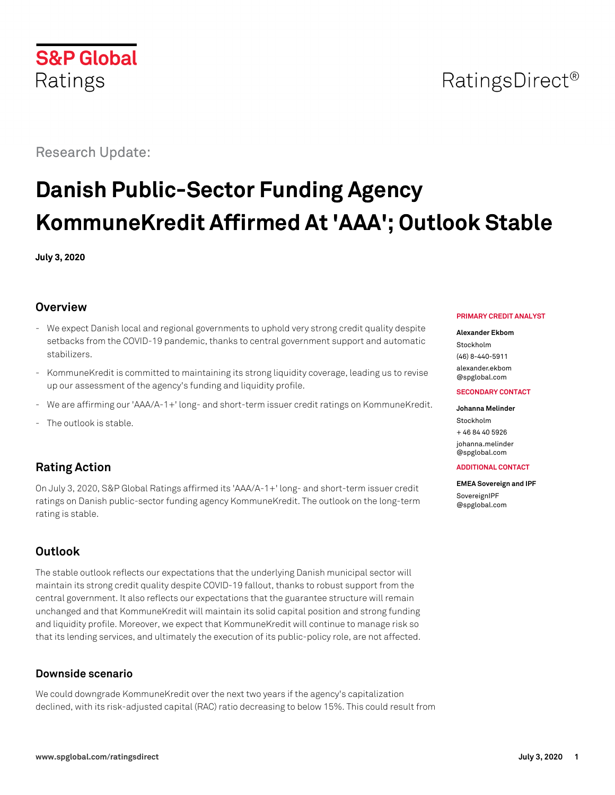

## RatingsDirect<sup>®</sup>

Research Update:

# **Danish Public-Sector Funding Agency KommuneKredit Affirmed At 'AAA'; Outlook Stable**

**July 3, 2020**

### **Overview**

- We expect Danish local and regional governments to uphold very strong credit quality despite setbacks from the COVID-19 pandemic, thanks to central government support and automatic stabilizers.
- KommuneKredit is committed to maintaining its strong liquidity coverage, leading us to revise up our assessment of the agency's funding and liquidity profile.
- We are affirming our 'AAA/A-1+' long- and short-term issuer credit ratings on KommuneKredit.
- The outlook is stable.

### **Rating Action**

On July 3, 2020, S&P Global Ratings affirmed its 'AAA/A-1+' long- and short-term issuer credit ratings on Danish public-sector funding agency KommuneKredit. The outlook on the long-term rating is stable.

### **Outlook**

The stable outlook reflects our expectations that the underlying Danish municipal sector will maintain its strong credit quality despite COVID-19 fallout, thanks to robust support from the central government. It also reflects our expectations that the guarantee structure will remain unchanged and that KommuneKredit will maintain its solid capital position and strong funding and liquidity profile. Moreover, we expect that KommuneKredit will continue to manage risk so that its lending services, and ultimately the execution of its public-policy role, are not affected.

### **Downside scenario**

We could downgrade KommuneKredit over the next two years if the agency's capitalization declined, with its risk-adjusted capital (RAC) ratio decreasing to below 15%. This could result from

#### **PRIMARY CREDIT ANALYST**

#### **Alexander Ekbom**

Stockholm (46) 8-440-5911 [alexander.ekbom](mailto:alexander.ekbom@spglobal.com)

[@spglobal.com](mailto:alexander.ekbom@spglobal.com)

#### **SECONDARY CONTACT**

#### **Johanna Melinder**

Stockholm + 46 84 40 5926 [johanna.melinder](mailto:johanna.melinder@spglobal.com) [@spglobal.com](mailto:johanna.melinder@spglobal.com)

#### **ADDITIONAL CONTACT**

**EMEA Sovereign and IPF [SovereignIPF](mailto:SovereignIPF@spglobal.com)** [@spglobal.com](mailto:SovereignIPF@spglobal.com)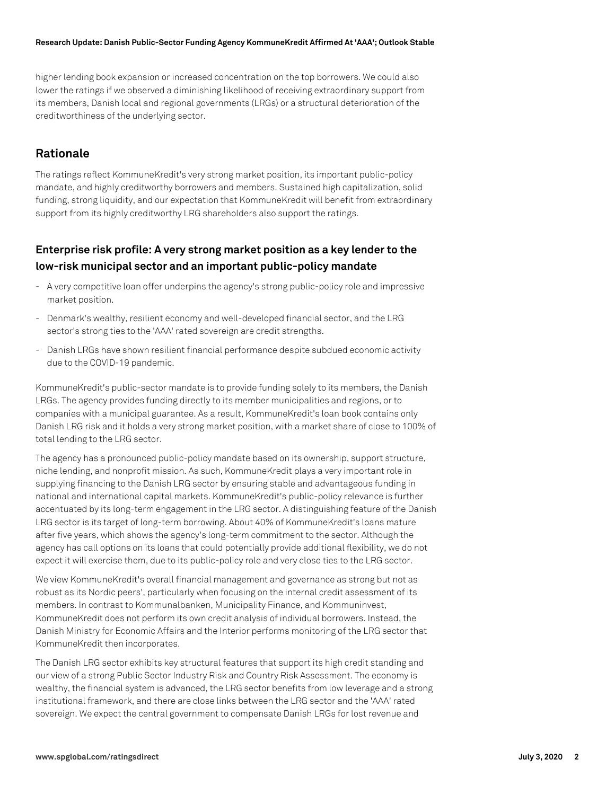#### **Research Update: Danish Public-Sector Funding Agency KommuneKredit Affirmed At 'AAA'; Outlook Stable**

higher lending book expansion or increased concentration on the top borrowers. We could also lower the ratings if we observed a diminishing likelihood of receiving extraordinary support from its members, Danish local and regional governments (LRGs) or a structural deterioration of the creditworthiness of the underlying sector.

### **Rationale**

The ratings reflect KommuneKredit's very strong market position, its important public-policy mandate, and highly creditworthy borrowers and members. Sustained high capitalization, solid funding, strong liquidity, and our expectation that KommuneKredit will benefit from extraordinary support from its highly creditworthy LRG shareholders also support the ratings.

### **Enterprise risk profile: A very strong market position as a key lender to the low-risk municipal sector and an important public-policy mandate**

- A very competitive loan offer underpins the agency's strong public-policy role and impressive market position.
- Denmark's wealthy, resilient economy and well-developed financial sector, and the LRG sector's strong ties to the 'AAA' rated sovereign are credit strengths.
- Danish LRGs have shown resilient financial performance despite subdued economic activity due to the COVID-19 pandemic.

KommuneKredit's public-sector mandate is to provide funding solely to its members, the Danish LRGs. The agency provides funding directly to its member municipalities and regions, or to companies with a municipal guarantee. As a result, KommuneKredit's loan book contains only Danish LRG risk and it holds a very strong market position, with a market share of close to 100% of total lending to the LRG sector.

The agency has a pronounced public-policy mandate based on its ownership, support structure, niche lending, and nonprofit mission. As such, KommuneKredit plays a very important role in supplying financing to the Danish LRG sector by ensuring stable and advantageous funding in national and international capital markets. KommuneKredit's public-policy relevance is further accentuated by its long-term engagement in the LRG sector. A distinguishing feature of the Danish LRG sector is its target of long-term borrowing. About 40% of KommuneKredit's loans mature after five years, which shows the agency's long-term commitment to the sector. Although the agency has call options on its loans that could potentially provide additional flexibility, we do not expect it will exercise them, due to its public-policy role and very close ties to the LRG sector.

We view KommuneKredit's overall financial management and governance as strong but not as robust as its Nordic peers', particularly when focusing on the internal credit assessment of its members. In contrast to Kommunalbanken, Municipality Finance, and Kommuninvest, KommuneKredit does not perform its own credit analysis of individual borrowers. Instead, the Danish Ministry for Economic Affairs and the Interior performs monitoring of the LRG sector that KommuneKredit then incorporates.

The Danish LRG sector exhibits key structural features that support its high credit standing and our view of a strong Public Sector Industry Risk and Country Risk Assessment. The economy is wealthy, the financial system is advanced, the LRG sector benefits from low leverage and a strong institutional framework, and there are close links between the LRG sector and the 'AAA' rated sovereign. We expect the central government to compensate Danish LRGs for lost revenue and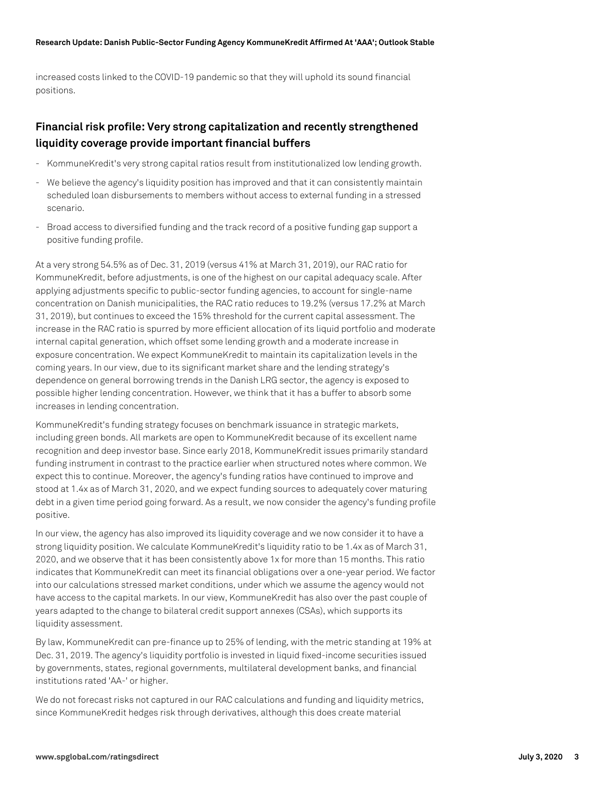increased costs linked to the COVID-19 pandemic so that they will uphold its sound financial positions.

### **Financial risk profile: Very strong capitalization and recently strengthened liquidity coverage provide important financial buffers**

- KommuneKredit's very strong capital ratios result from institutionalized low lending growth.
- We believe the agency's liquidity position has improved and that it can consistently maintain scheduled loan disbursements to members without access to external funding in a stressed scenario.
- Broad access to diversified funding and the track record of a positive funding gap support a positive funding profile.

At a very strong 54.5% as of Dec. 31, 2019 (versus 41% at March 31, 2019), our RAC ratio for KommuneKredit, before adjustments, is one of the highest on our capital adequacy scale. After applying adjustments specific to public-sector funding agencies, to account for single-name concentration on Danish municipalities, the RAC ratio reduces to 19.2% (versus 17.2% at March 31, 2019), but continues to exceed the 15% threshold for the current capital assessment. The increase in the RAC ratio is spurred by more efficient allocation of its liquid portfolio and moderate internal capital generation, which offset some lending growth and a moderate increase in exposure concentration. We expect KommuneKredit to maintain its capitalization levels in the coming years. In our view, due to its significant market share and the lending strategy's dependence on general borrowing trends in the Danish LRG sector, the agency is exposed to possible higher lending concentration. However, we think that it has a buffer to absorb some increases in lending concentration.

KommuneKredit's funding strategy focuses on benchmark issuance in strategic markets, including green bonds. All markets are open to KommuneKredit because of its excellent name recognition and deep investor base. Since early 2018, KommuneKredit issues primarily standard funding instrument in contrast to the practice earlier when structured notes where common. We expect this to continue. Moreover, the agency's funding ratios have continued to improve and stood at 1.4x as of March 31, 2020, and we expect funding sources to adequately cover maturing debt in a given time period going forward. As a result, we now consider the agency's funding profile positive.

In our view, the agency has also improved its liquidity coverage and we now consider it to have a strong liquidity position. We calculate KommuneKredit's liquidity ratio to be 1.4x as of March 31, 2020, and we observe that it has been consistently above 1x for more than 15 months. This ratio indicates that KommuneKredit can meet its financial obligations over a one-year period. We factor into our calculations stressed market conditions, under which we assume the agency would not have access to the capital markets. In our view, KommuneKredit has also over the past couple of years adapted to the change to bilateral credit support annexes (CSAs), which supports its liquidity assessment.

By law, KommuneKredit can pre-finance up to 25% of lending, with the metric standing at 19% at Dec. 31, 2019. The agency's liquidity portfolio is invested in liquid fixed-income securities issued by governments, states, regional governments, multilateral development banks, and financial institutions rated 'AA-' or higher.

We do not forecast risks not captured in our RAC calculations and funding and liquidity metrics, since KommuneKredit hedges risk through derivatives, although this does create material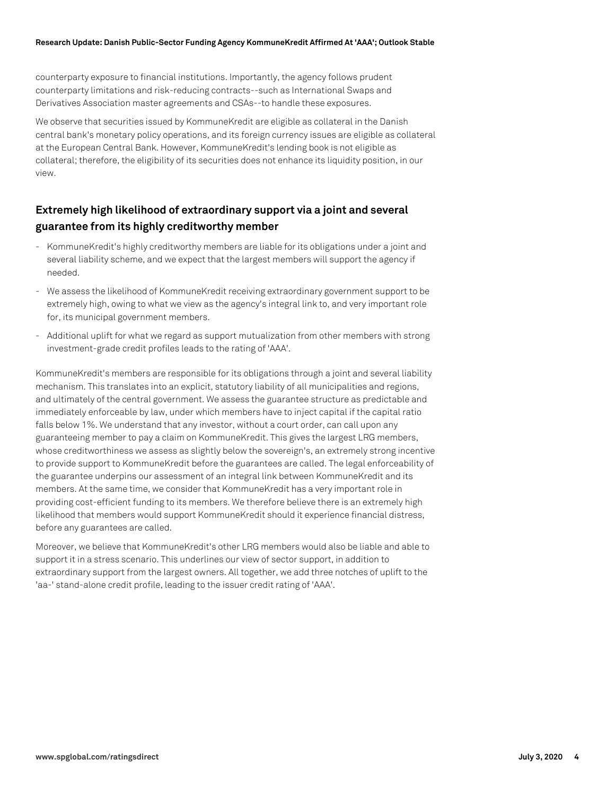counterparty exposure to financial institutions. Importantly, the agency follows prudent counterparty limitations and risk-reducing contracts--such as International Swaps and Derivatives Association master agreements and CSAs--to handle these exposures.

We observe that securities issued by KommuneKredit are eligible as collateral in the Danish central bank's monetary policy operations, and its foreign currency issues are eligible as collateral at the European Central Bank. However, KommuneKredit's lending book is not eligible as collateral; therefore, the eligibility of its securities does not enhance its liquidity position, in our view.

### **Extremely high likelihood of extraordinary support via a joint and several guarantee from its highly creditworthy member**

- KommuneKredit's highly creditworthy members are liable for its obligations under a joint and several liability scheme, and we expect that the largest members will support the agency if needed.
- We assess the likelihood of KommuneKredit receiving extraordinary government support to be extremely high, owing to what we view as the agency's integral link to, and very important role for, its municipal government members.
- Additional uplift for what we regard as support mutualization from other members with strong investment-grade credit profiles leads to the rating of 'AAA'.

KommuneKredit's members are responsible for its obligations through a joint and several liability mechanism. This translates into an explicit, statutory liability of all municipalities and regions, and ultimately of the central government. We assess the guarantee structure as predictable and immediately enforceable by law, under which members have to inject capital if the capital ratio falls below 1%. We understand that any investor, without a court order, can call upon any guaranteeing member to pay a claim on KommuneKredit. This gives the largest LRG members, whose creditworthiness we assess as slightly below the sovereign's, an extremely strong incentive to provide support to KommuneKredit before the guarantees are called. The legal enforceability of the guarantee underpins our assessment of an integral link between KommuneKredit and its members. At the same time, we consider that KommuneKredit has a very important role in providing cost-efficient funding to its members. We therefore believe there is an extremely high likelihood that members would support KommuneKredit should it experience financial distress, before any guarantees are called.

Moreover, we believe that KommuneKredit's other LRG members would also be liable and able to support it in a stress scenario. This underlines our view of sector support, in addition to extraordinary support from the largest owners. All together, we add three notches of uplift to the 'aa-' stand-alone credit profile, leading to the issuer credit rating of 'AAA'.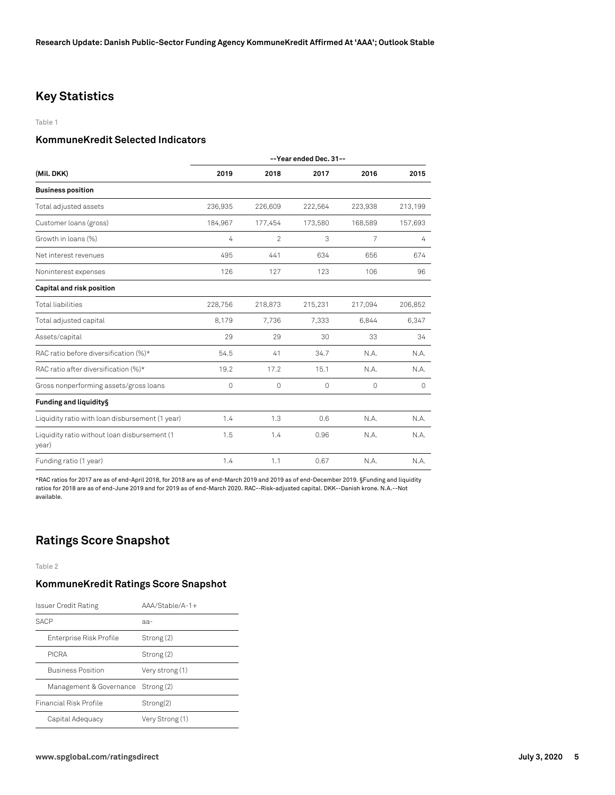### **Key Statistics**

#### Table 1

#### **KommuneKredit Selected Indicators**

|                                                       | --Year ended Dec. 31-- |                |          |          |          |
|-------------------------------------------------------|------------------------|----------------|----------|----------|----------|
| (Mil. DKK)                                            | 2019                   | 2018           | 2017     | 2016     | 2015     |
| <b>Business position</b>                              |                        |                |          |          |          |
| Total adjusted assets                                 | 236,935                | 226,609        | 222,564  | 223,938  | 213,199  |
| Customer loans (gross)                                | 184,967                | 177,454        | 173,580  | 168,589  | 157,693  |
| Growth in loans (%)                                   | 4                      | $\overline{2}$ | 3        | 7        | 4        |
| Net interest revenues                                 | 495                    | 441            | 634      | 656      | 674      |
| Noninterest expenses                                  | 126                    | 127            | 123      | 106      | 96       |
| Capital and risk position                             |                        |                |          |          |          |
| <b>Total liabilities</b>                              | 228,756                | 218,873        | 215,231  | 217,094  | 206,852  |
| Total adjusted capital                                | 8,179                  | 7,736          | 7,333    | 6,844    | 6,347    |
| Assets/capital                                        | 29                     | 29             | 30       | 33       | 34       |
| RAC ratio before diversification (%)*                 | 54.5                   | 41             | 34.7     | N.A.     | N.A.     |
| RAC ratio after diversification (%)*                  | 19.2                   | 17.2           | 15.1     | N.A.     | N.A.     |
| Gross nonperforming assets/gross loans                | 0                      | $\Omega$       | $\Omega$ | $\Omega$ | $\Omega$ |
| Funding and liquidity §                               |                        |                |          |          |          |
| Liquidity ratio with loan disbursement (1 year)       | 1.4                    | 1.3            | 0.6      | N.A.     | N.A.     |
| Liquidity ratio without loan disbursement (1<br>year) | 1.5                    | 1.4            | 0.96     | N.A.     | N.A.     |
| Funding ratio (1 year)                                | 1.4                    | 1.1            | 0.67     | N.A.     | N.A.     |

\*RAC ratios for 2017 are as of end-April 2018, for 2018 are as of end-March 2019 and 2019 as of end-December 2019. §Funding and liquidity ratios for 2018 are as of end-June 2019 and for 2019 as of end-March 2020. RAC--Risk-adjusted capital. DKK--Danish krone. N.A.--Not available.

### **Ratings Score Snapshot**

Table 2

#### **KommuneKredit Ratings Score Snapshot**

| Issuer Credit Rating               | $AA/Stable/A-1+$ |
|------------------------------------|------------------|
| SACP                               | аа-              |
| Enterprise Risk Profile            | Strong (2)       |
| <b>PICRA</b>                       | Strong (2)       |
| <b>Business Position</b>           | Very strong (1)  |
| Management & Governance Strong (2) |                  |
| Financial Risk Profile             | Strong(2)        |
| Capital Adequacy                   | Very Strong (1)  |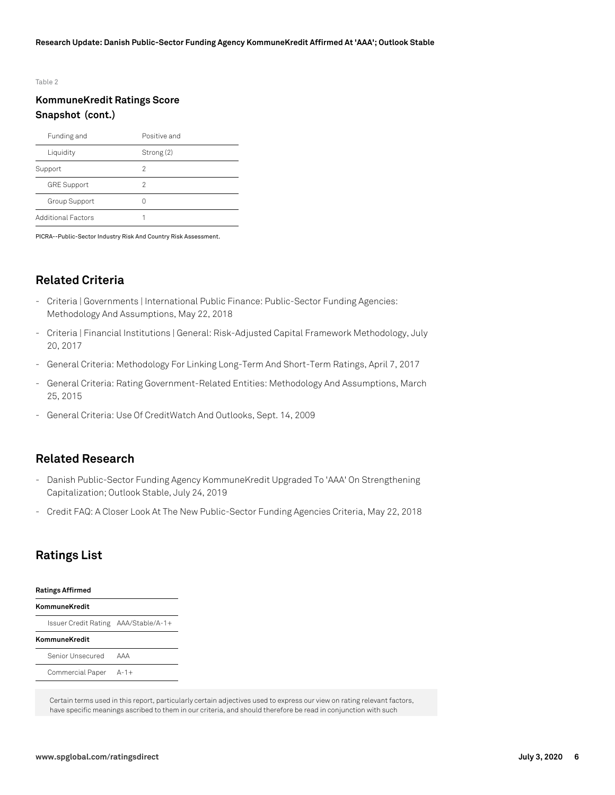#### Table 2

### **KommuneKredit Ratings Score Snapshot (cont.)**

| Funding and               | Positive and |
|---------------------------|--------------|
| Liquidity                 | Strong (2)   |
| Support                   | 2            |
| <b>GRE Support</b>        | 2            |
| Group Support             | Ω            |
| <b>Additional Factors</b> |              |

PICRA--Public-Sector Industry Risk And Country Risk Assessment.

### **Related Criteria**

- Criteria | Governments | International Public Finance: Public-Sector Funding Agencies: Methodology And Assumptions, May 22, 2018
- Criteria | Financial Institutions | General: Risk-Adjusted Capital Framework Methodology, July 20, 2017
- General Criteria: Methodology For Linking Long-Term And Short-Term Ratings, April 7, 2017
- General Criteria: Rating Government-Related Entities: Methodology And Assumptions, March 25, 2015
- General Criteria: Use Of CreditWatch And Outlooks, Sept. 14, 2009

### **Related Research**

- Danish Public-Sector Funding Agency KommuneKredit Upgraded To 'AAA' On Strengthening Capitalization; Outlook Stable, July 24, 2019
- Credit FAQ: A Closer Look At The New Public-Sector Funding Agencies Criteria, May 22, 2018

### **Ratings List**

#### **Ratings Affirmed**

#### **KommuneKredit**

Issuer Credit Rating AAA/Stable/A-1+

#### **KommuneKredit**

| Senior Unsecured | AAA    |
|------------------|--------|
| Commercial Paper | $A-1+$ |

Certain terms used in this report, particularly certain adjectives used to express our view on rating relevant factors, have specific meanings ascribed to them in our criteria, and should therefore be read in conjunction with such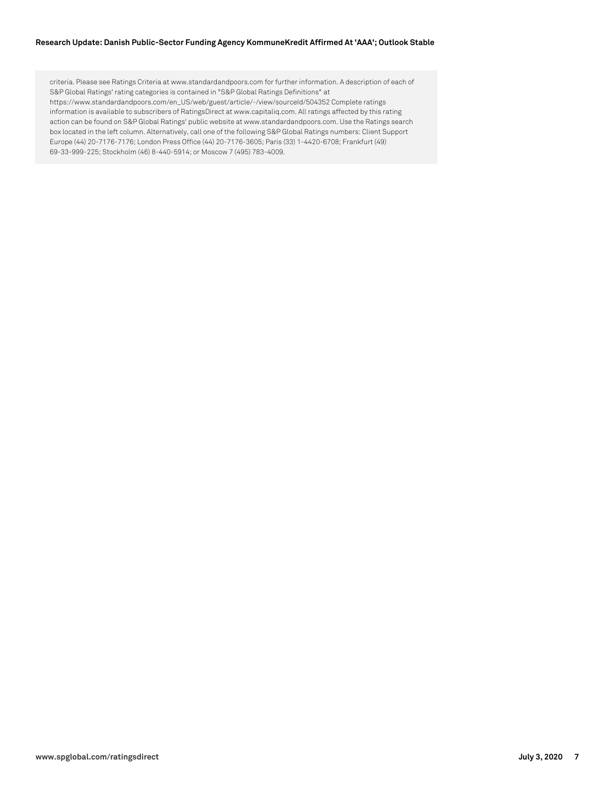#### **Research Update: Danish Public-Sector Funding Agency KommuneKredit Affirmed At 'AAA'; Outlook Stable**

criteria. Please see Ratings Criteria at www.standardandpoors.com for further information. A description of each of S&P Global Ratings' rating categories is contained in "S&P Global Ratings Definitions" at https://www.standardandpoors.com/en\_US/web/guest/article/-/view/sourceId/504352 Complete ratings information is available to subscribers of RatingsDirect at www.capitaliq.com. All ratings affected by this rating action can be found on S&P Global Ratings' public website at www.standardandpoors.com. Use the Ratings search box located in the left column. Alternatively, call one of the following S&P Global Ratings numbers: Client Support Europe (44) 20-7176-7176; London Press Office (44) 20-7176-3605; Paris (33) 1-4420-6708; Frankfurt (49) 69-33-999-225; Stockholm (46) 8-440-5914; or Moscow 7 (495) 783-4009.